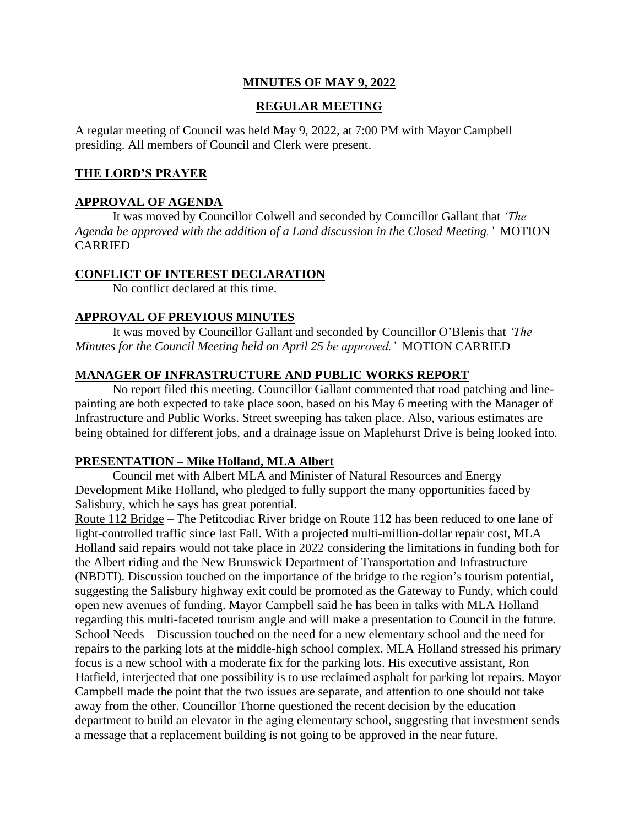# **MINUTES OF MAY 9, 2022**

## **REGULAR MEETING**

A regular meeting of Council was held May 9, 2022, at 7:00 PM with Mayor Campbell presiding. All members of Council and Clerk were present.

## **THE LORD'S PRAYER**

#### **APPROVAL OF AGENDA**

It was moved by Councillor Colwell and seconded by Councillor Gallant that *'The Agenda be approved with the addition of a Land discussion in the Closed Meeting.'* MOTION CARRIED

#### **CONFLICT OF INTEREST DECLARATION**

No conflict declared at this time.

## **APPROVAL OF PREVIOUS MINUTES**

It was moved by Councillor Gallant and seconded by Councillor O'Blenis that *'The Minutes for the Council Meeting held on April 25 be approved.'* MOTION CARRIED

#### **MANAGER OF INFRASTRUCTURE AND PUBLIC WORKS REPORT**

No report filed this meeting. Councillor Gallant commented that road patching and linepainting are both expected to take place soon, based on his May 6 meeting with the Manager of Infrastructure and Public Works. Street sweeping has taken place. Also, various estimates are being obtained for different jobs, and a drainage issue on Maplehurst Drive is being looked into.

#### **PRESENTATION – Mike Holland, MLA Albert**

Council met with Albert MLA and Minister of Natural Resources and Energy Development Mike Holland, who pledged to fully support the many opportunities faced by Salisbury, which he says has great potential.

Route 112 Bridge – The Petitcodiac River bridge on Route 112 has been reduced to one lane of light-controlled traffic since last Fall. With a projected multi-million-dollar repair cost, MLA Holland said repairs would not take place in 2022 considering the limitations in funding both for the Albert riding and the New Brunswick Department of Transportation and Infrastructure (NBDTI). Discussion touched on the importance of the bridge to the region's tourism potential, suggesting the Salisbury highway exit could be promoted as the Gateway to Fundy, which could open new avenues of funding. Mayor Campbell said he has been in talks with MLA Holland regarding this multi-faceted tourism angle and will make a presentation to Council in the future. School Needs – Discussion touched on the need for a new elementary school and the need for repairs to the parking lots at the middle-high school complex. MLA Holland stressed his primary focus is a new school with a moderate fix for the parking lots. His executive assistant, Ron Hatfield, interjected that one possibility is to use reclaimed asphalt for parking lot repairs. Mayor Campbell made the point that the two issues are separate, and attention to one should not take away from the other. Councillor Thorne questioned the recent decision by the education department to build an elevator in the aging elementary school, suggesting that investment sends a message that a replacement building is not going to be approved in the near future.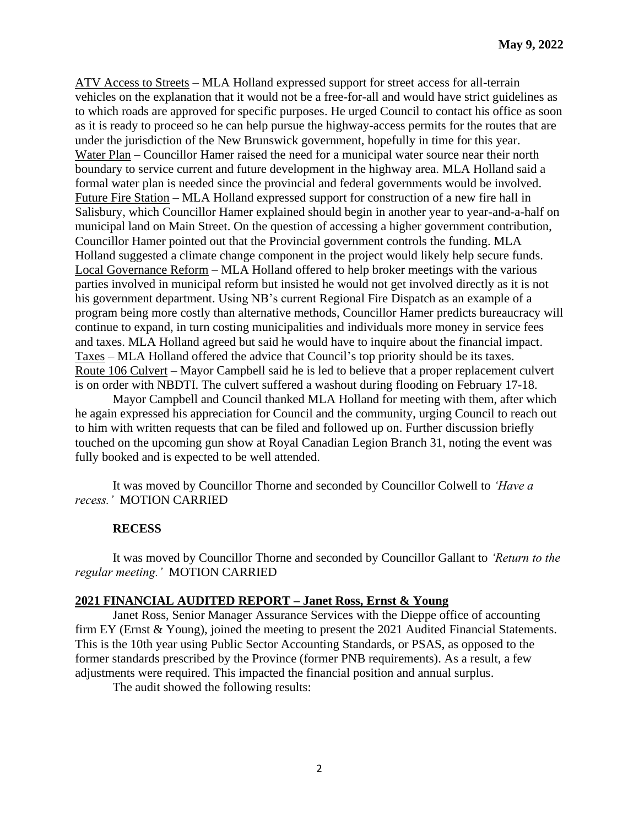ATV Access to Streets – MLA Holland expressed support for street access for all-terrain vehicles on the explanation that it would not be a free-for-all and would have strict guidelines as to which roads are approved for specific purposes. He urged Council to contact his office as soon as it is ready to proceed so he can help pursue the highway-access permits for the routes that are under the jurisdiction of the New Brunswick government, hopefully in time for this year. Water Plan – Councillor Hamer raised the need for a municipal water source near their north boundary to service current and future development in the highway area. MLA Holland said a formal water plan is needed since the provincial and federal governments would be involved. Future Fire Station – MLA Holland expressed support for construction of a new fire hall in Salisbury, which Councillor Hamer explained should begin in another year to year-and-a-half on municipal land on Main Street. On the question of accessing a higher government contribution, Councillor Hamer pointed out that the Provincial government controls the funding. MLA Holland suggested a climate change component in the project would likely help secure funds. Local Governance Reform – MLA Holland offered to help broker meetings with the various parties involved in municipal reform but insisted he would not get involved directly as it is not his government department. Using NB's current Regional Fire Dispatch as an example of a program being more costly than alternative methods, Councillor Hamer predicts bureaucracy will continue to expand, in turn costing municipalities and individuals more money in service fees and taxes. MLA Holland agreed but said he would have to inquire about the financial impact. Taxes – MLA Holland offered the advice that Council's top priority should be its taxes. Route 106 Culvert – Mayor Campbell said he is led to believe that a proper replacement culvert is on order with NBDTI. The culvert suffered a washout during flooding on February 17-18.

Mayor Campbell and Council thanked MLA Holland for meeting with them, after which he again expressed his appreciation for Council and the community, urging Council to reach out to him with written requests that can be filed and followed up on. Further discussion briefly touched on the upcoming gun show at Royal Canadian Legion Branch 31, noting the event was fully booked and is expected to be well attended.

It was moved by Councillor Thorne and seconded by Councillor Colwell to *'Have a recess.'* MOTION CARRIED

#### **RECESS**

It was moved by Councillor Thorne and seconded by Councillor Gallant to *'Return to the regular meeting.'* MOTION CARRIED

#### **2021 FINANCIAL AUDITED REPORT – Janet Ross, Ernst & Young**

Janet Ross, Senior Manager Assurance Services with the Dieppe office of accounting firm EY (Ernst & Young), joined the meeting to present the 2021 Audited Financial Statements. This is the 10th year using Public Sector Accounting Standards, or PSAS, as opposed to the former standards prescribed by the Province (former PNB requirements). As a result, a few adjustments were required. This impacted the financial position and annual surplus.

The audit showed the following results: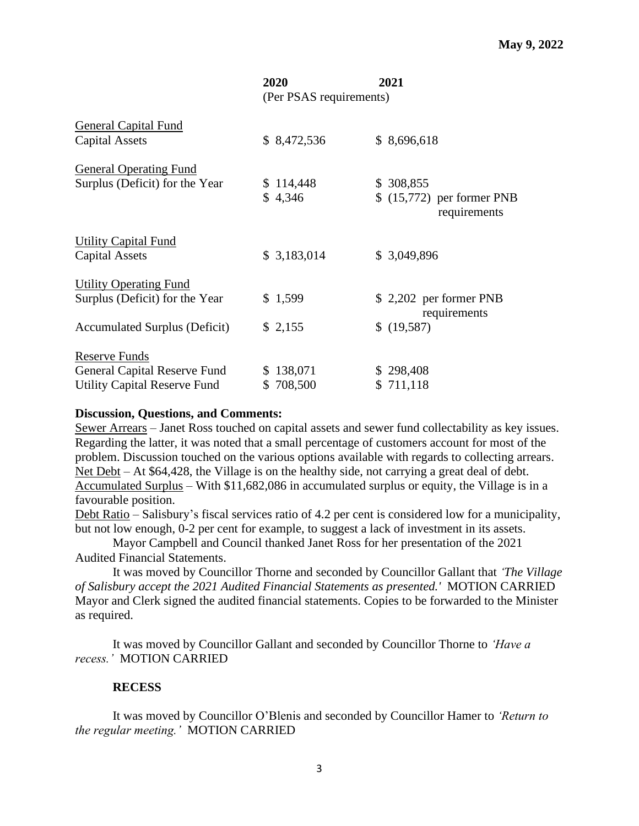|                                                                                                  | 2020                    | 2021                                                     |
|--------------------------------------------------------------------------------------------------|-------------------------|----------------------------------------------------------|
|                                                                                                  | (Per PSAS requirements) |                                                          |
| <b>General Capital Fund</b><br><b>Capital Assets</b>                                             | \$8,472,536             | \$8,696,618                                              |
| <b>General Operating Fund</b><br>Surplus (Deficit) for the Year                                  | \$114,448<br>\$4,346    | \$ 308,855<br>\$ (15,772) per former PNB<br>requirements |
| <b>Utility Capital Fund</b><br>Capital Assets                                                    | \$3,183,014             | \$3,049,896                                              |
| <b>Utility Operating Fund</b><br>Surplus (Deficit) for the Year<br>Accumulated Surplus (Deficit) | \$1,599<br>\$2,155      | \$2,202 per former PNB<br>requirements<br>\$ (19,587)    |
| <b>Reserve Funds</b><br>General Capital Reserve Fund<br><b>Utility Capital Reserve Fund</b>      | \$138,071<br>\$708,500  | \$298,408<br>\$711,118                                   |

#### **Discussion, Questions, and Comments:**

Sewer Arrears – Janet Ross touched on capital assets and sewer fund collectability as key issues. Regarding the latter, it was noted that a small percentage of customers account for most of the problem. Discussion touched on the various options available with regards to collecting arrears. Net Debt – At \$64,428, the Village is on the healthy side, not carrying a great deal of debt. Accumulated Surplus – With \$11,682,086 in accumulated surplus or equity, the Village is in a favourable position.

Debt Ratio – Salisbury's fiscal services ratio of 4.2 per cent is considered low for a municipality, but not low enough, 0-2 per cent for example, to suggest a lack of investment in its assets.

Mayor Campbell and Council thanked Janet Ross for her presentation of the 2021 Audited Financial Statements.

It was moved by Councillor Thorne and seconded by Councillor Gallant that *'The Village of Salisbury accept the 2021 Audited Financial Statements as presented.'* MOTION CARRIED Mayor and Clerk signed the audited financial statements. Copies to be forwarded to the Minister as required.

It was moved by Councillor Gallant and seconded by Councillor Thorne to *'Have a recess.'* MOTION CARRIED

## **RECESS**

It was moved by Councillor O'Blenis and seconded by Councillor Hamer to *'Return to the regular meeting.'* MOTION CARRIED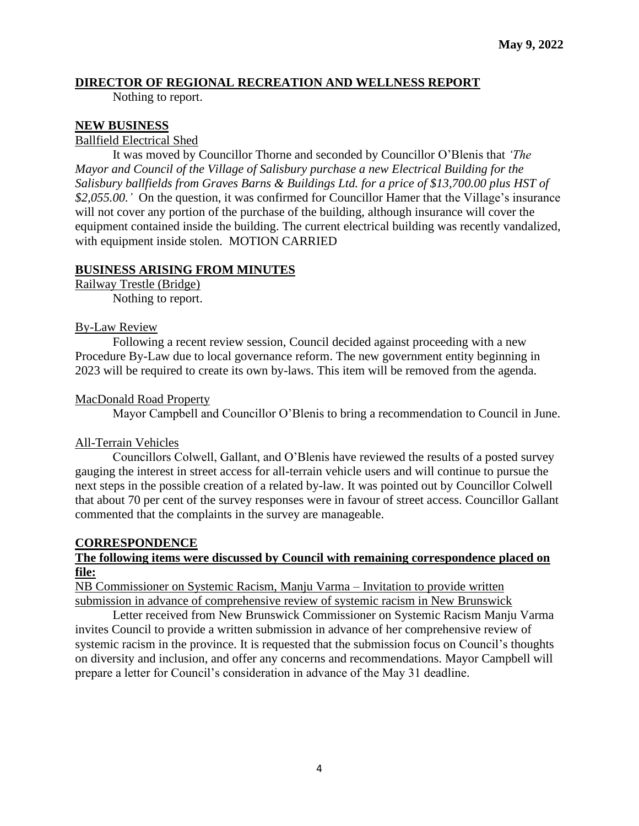## **DIRECTOR OF REGIONAL RECREATION AND WELLNESS REPORT**

Nothing to report.

#### **NEW BUSINESS**

Ballfield Electrical Shed

It was moved by Councillor Thorne and seconded by Councillor O'Blenis that *'The Mayor and Council of the Village of Salisbury purchase a new Electrical Building for the Salisbury ballfields from Graves Barns & Buildings Ltd. for a price of \$13,700.00 plus HST of \$2,055.00.'* On the question, it was confirmed for Councillor Hamer that the Village's insurance will not cover any portion of the purchase of the building, although insurance will cover the equipment contained inside the building. The current electrical building was recently vandalized, with equipment inside stolen. MOTION CARRIED

## **BUSINESS ARISING FROM MINUTES**

Railway Trestle (Bridge) Nothing to report.

#### By-Law Review

Following a recent review session, Council decided against proceeding with a new Procedure By-Law due to local governance reform. The new government entity beginning in 2023 will be required to create its own by-laws. This item will be removed from the agenda.

#### MacDonald Road Property

Mayor Campbell and Councillor O'Blenis to bring a recommendation to Council in June.

## All-Terrain Vehicles

Councillors Colwell, Gallant, and O'Blenis have reviewed the results of a posted survey gauging the interest in street access for all-terrain vehicle users and will continue to pursue the next steps in the possible creation of a related by-law. It was pointed out by Councillor Colwell that about 70 per cent of the survey responses were in favour of street access. Councillor Gallant commented that the complaints in the survey are manageable.

## **CORRESPONDENCE**

## **The following items were discussed by Council with remaining correspondence placed on file:**

NB Commissioner on Systemic Racism, Manju Varma – Invitation to provide written submission in advance of comprehensive review of systemic racism in New Brunswick

Letter received from New Brunswick Commissioner on Systemic Racism Manju Varma invites Council to provide a written submission in advance of her comprehensive review of systemic racism in the province. It is requested that the submission focus on Council's thoughts on diversity and inclusion, and offer any concerns and recommendations. Mayor Campbell will prepare a letter for Council's consideration in advance of the May 31 deadline.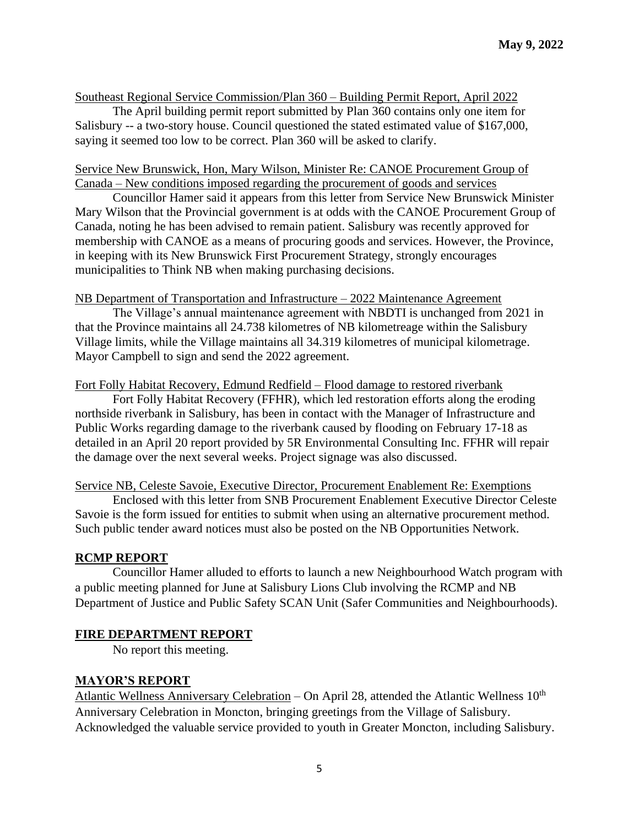## Southeast Regional Service Commission/Plan 360 – Building Permit Report, April 2022

The April building permit report submitted by Plan 360 contains only one item for Salisbury -- a two-story house. Council questioned the stated estimated value of \$167,000, saying it seemed too low to be correct. Plan 360 will be asked to clarify.

## Service New Brunswick, Hon, Mary Wilson, Minister Re: CANOE Procurement Group of Canada – New conditions imposed regarding the procurement of goods and services

Councillor Hamer said it appears from this letter from Service New Brunswick Minister Mary Wilson that the Provincial government is at odds with the CANOE Procurement Group of Canada, noting he has been advised to remain patient. Salisbury was recently approved for membership with CANOE as a means of procuring goods and services. However, the Province, in keeping with its New Brunswick First Procurement Strategy, strongly encourages municipalities to Think NB when making purchasing decisions.

## NB Department of Transportation and Infrastructure – 2022 Maintenance Agreement

The Village's annual maintenance agreement with NBDTI is unchanged from 2021 in that the Province maintains all 24.738 kilometres of NB kilometreage within the Salisbury Village limits, while the Village maintains all 34.319 kilometres of municipal kilometrage. Mayor Campbell to sign and send the 2022 agreement.

#### Fort Folly Habitat Recovery, Edmund Redfield – Flood damage to restored riverbank

Fort Folly Habitat Recovery (FFHR), which led restoration efforts along the eroding northside riverbank in Salisbury, has been in contact with the Manager of Infrastructure and Public Works regarding damage to the riverbank caused by flooding on February 17-18 as detailed in an April 20 report provided by 5R Environmental Consulting Inc. FFHR will repair the damage over the next several weeks. Project signage was also discussed.

#### Service NB, Celeste Savoie, Executive Director, Procurement Enablement Re: Exemptions

Enclosed with this letter from SNB Procurement Enablement Executive Director Celeste Savoie is the form issued for entities to submit when using an alternative procurement method. Such public tender award notices must also be posted on the NB Opportunities Network.

## **RCMP REPORT**

Councillor Hamer alluded to efforts to launch a new Neighbourhood Watch program with a public meeting planned for June at Salisbury Lions Club involving the RCMP and NB Department of Justice and Public Safety SCAN Unit (Safer Communities and Neighbourhoods).

## **FIRE DEPARTMENT REPORT**

No report this meeting.

## **MAYOR'S REPORT**

Atlantic Wellness Anniversary Celebration – On April 28, attended the Atlantic Wellness 10<sup>th</sup> Anniversary Celebration in Moncton, bringing greetings from the Village of Salisbury. Acknowledged the valuable service provided to youth in Greater Moncton, including Salisbury.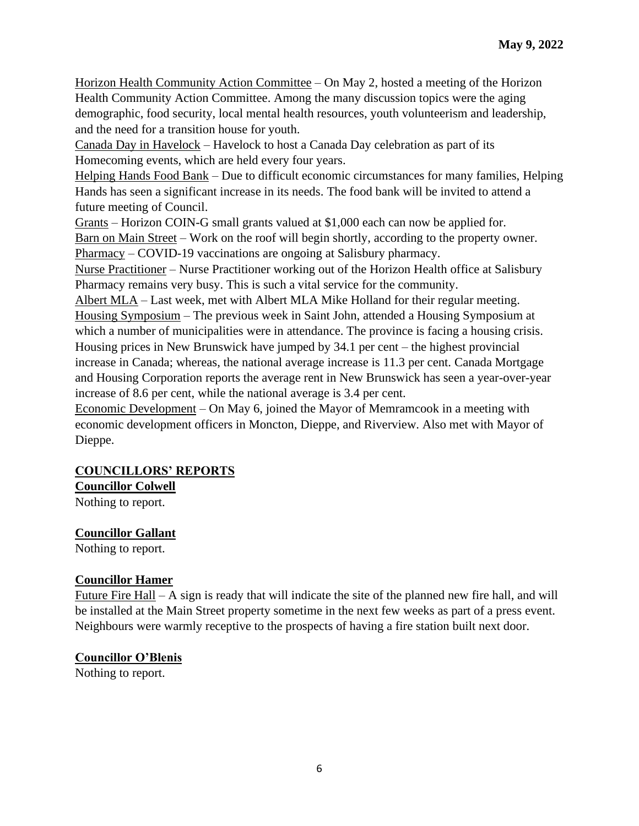Horizon Health Community Action Committee – On May 2, hosted a meeting of the Horizon Health Community Action Committee. Among the many discussion topics were the aging demographic, food security, local mental health resources, youth volunteerism and leadership, and the need for a transition house for youth.

Canada Day in Havelock – Havelock to host a Canada Day celebration as part of its Homecoming events, which are held every four years.

Helping Hands Food Bank – Due to difficult economic circumstances for many families, Helping Hands has seen a significant increase in its needs. The food bank will be invited to attend a future meeting of Council.

Grants – Horizon COIN-G small grants valued at \$1,000 each can now be applied for.

Barn on Main Street – Work on the roof will begin shortly, according to the property owner. Pharmacy – COVID-19 vaccinations are ongoing at Salisbury pharmacy.

Nurse Practitioner – Nurse Practitioner working out of the Horizon Health office at Salisbury Pharmacy remains very busy. This is such a vital service for the community.

Albert MLA – Last week, met with Albert MLA Mike Holland for their regular meeting. Housing Symposium – The previous week in Saint John, attended a Housing Symposium at which a number of municipalities were in attendance. The province is facing a housing crisis. Housing prices in New Brunswick have jumped by 34.1 per cent – the highest provincial increase in Canada; whereas, the national average increase is 11.3 per cent. Canada Mortgage and Housing Corporation reports the average rent in New Brunswick has seen a year-over-year increase of 8.6 per cent, while the national average is 3.4 per cent.

Economic Development – On May 6, joined the Mayor of Memramcook in a meeting with economic development officers in Moncton, Dieppe, and Riverview. Also met with Mayor of Dieppe.

# **COUNCILLORS' REPORTS**

**Councillor Colwell**

Nothing to report.

# **Councillor Gallant**

Nothing to report.

# **Councillor Hamer**

Future Fire Hall – A sign is ready that will indicate the site of the planned new fire hall, and will be installed at the Main Street property sometime in the next few weeks as part of a press event. Neighbours were warmly receptive to the prospects of having a fire station built next door.

# **Councillor O'Blenis**

Nothing to report.